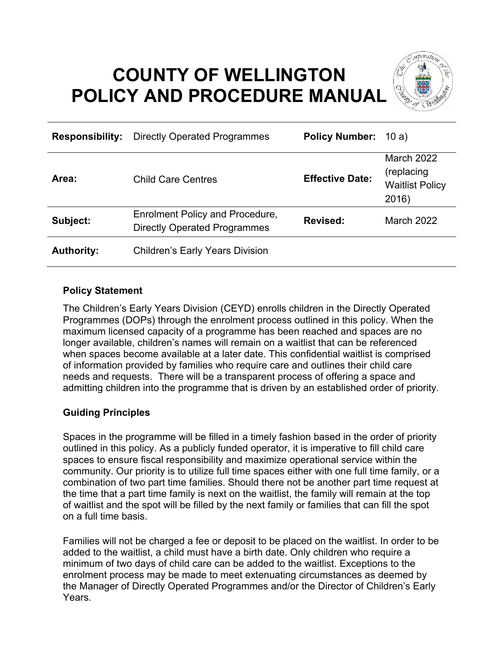# **COUNTY OF WELLINGTON POLICY AND PROCEDURE MANUAL**



| <b>Responsibility:</b> | <b>Directly Operated Programmes</b>                                           | <b>Policy Number:</b> 10 a) |                                                                     |
|------------------------|-------------------------------------------------------------------------------|-----------------------------|---------------------------------------------------------------------|
| Area:                  | <b>Child Care Centres</b>                                                     | <b>Effective Date:</b>      | <b>March 2022</b><br>(replacing)<br><b>Waitlist Policy</b><br>2016) |
| Subject:               | <b>Enrolment Policy and Procedure,</b><br><b>Directly Operated Programmes</b> | <b>Revised:</b>             | <b>March 2022</b>                                                   |
| <b>Authority:</b>      | <b>Children's Early Years Division</b>                                        |                             |                                                                     |

# **Policy Statement**

The Children's Early Years Division (CEYD) enrolls children in the Directly Operated Programmes (DOPs) through the enrolment process outlined in this policy. When the maximum licensed capacity of a programme has been reached and spaces are no longer available, children's names will remain on a waitlist that can be referenced when spaces become available at a later date. This confidential waitlist is comprised of information provided by families who require care and outlines their child care needs and requests. There will be a transparent process of offering a space and admitting children into the programme that is driven by an established order of priority.

# **Guiding Principles**

Spaces in the programme will be filled in a timely fashion based in the order of priority outlined in this policy. As a publicly funded operator, it is imperative to fill child care spaces to ensure fiscal responsibility and maximize operational service within the community. Our priority is to utilize full time spaces either with one full time family, or a combination of two part time families. Should there not be another part time request at the time that a part time family is next on the waitlist, the family will remain at the top of waitlist and the spot will be filled by the next family or families that can fill the spot on a full time basis.

Families will not be charged a fee or deposit to be placed on the waitlist. In order to be added to the waitlist, a child must have a birth date. Only children who require a minimum of two days of child care can be added to the waitlist. Exceptions to the enrolment process may be made to meet extenuating circumstances as deemed by the Manager of Directly Operated Programmes and/or the Director of Children's Early Years.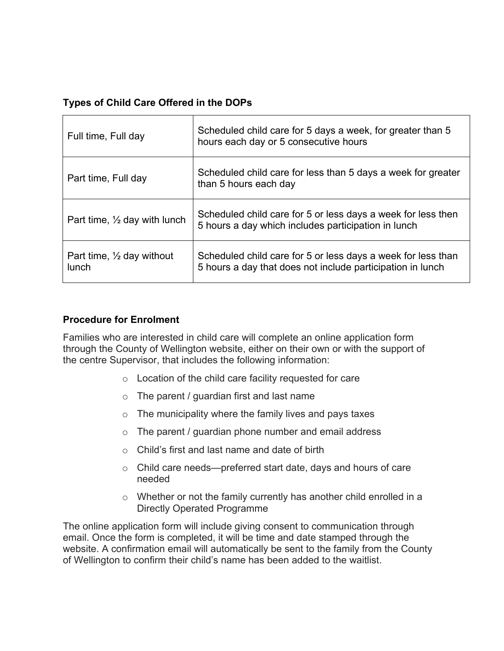# **Types of Child Care Offered in the DOPs**

| Full time, Full day                                  | Scheduled child care for 5 days a week, for greater than 5<br>hours each day or 5 consecutive hours                        |
|------------------------------------------------------|----------------------------------------------------------------------------------------------------------------------------|
| Part time, Full day                                  | Scheduled child care for less than 5 days a week for greater<br>than 5 hours each day                                      |
| Part time, $\frac{1}{2}$ day with lunch              | Scheduled child care for 5 or less days a week for less then<br>5 hours a day which includes participation in lunch        |
| Part time, $\frac{1}{2}$ day without<br><b>lunch</b> | Scheduled child care for 5 or less days a week for less than<br>5 hours a day that does not include participation in lunch |

# **Procedure for Enrolment**

Families who are interested in child care will complete an online application form through the County of Wellington website, either on their own or with the support of the centre Supervisor, that includes the following information:

- $\circ$  Location of the child care facility requested for care
- $\circ$  The parent / guardian first and last name
- $\circ$  The municipality where the family lives and pays taxes
- $\circ$  The parent / guardian phone number and email address
- $\circ$  Child's first and last name and date of birth
- o Child care needs—preferred start date, days and hours of care needed
- o Whether or not the family currently has another child enrolled in a Directly Operated Programme

The online application form will include giving consent to communication through email. Once the form is completed, it will be time and date stamped through the website. A confirmation email will automatically be sent to the family from the County of Wellington to confirm their child's name has been added to the waitlist.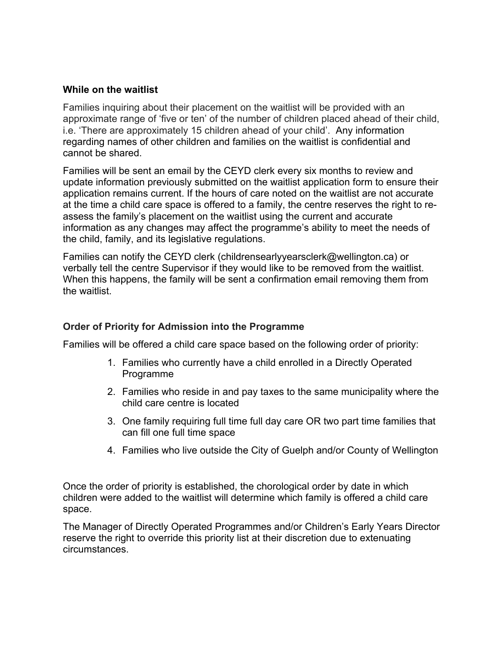#### **While on the waitlist**

Families inquiring about their placement on the waitlist will be provided with an approximate range of 'five or ten' of the number of children placed ahead of their child, i.e. 'There are approximately 15 children ahead of your child'. Any information regarding names of other children and families on the waitlist is confidential and cannot be shared.

Families will be sent an email by the CEYD clerk every six months to review and update information previously submitted on the waitlist application form to ensure their application remains current. If the hours of care noted on the waitlist are not accurate at the time a child care space is offered to a family, the centre reserves the right to reassess the family's placement on the waitlist using the current and accurate information as any changes may affect the programme's ability to meet the needs of the child, family, and its legislative regulations.

Families can notify the CEYD clerk (childrensearlyyearsclerk@wellington.ca) or verbally tell the centre Supervisor if they would like to be removed from the waitlist. When this happens, the family will be sent a confirmation email removing them from the waitlist.

# **Order of Priority for Admission into the Programme**

Families will be offered a child care space based on the following order of priority:

- 1. Families who currently have a child enrolled in a Directly Operated Programme
- 2. Families who reside in and pay taxes to the same municipality where the child care centre is located
- 3. One family requiring full time full day care OR two part time families that can fill one full time space
- 4. Families who live outside the City of Guelph and/or County of Wellington

Once the order of priority is established, the chorological order by date in which children were added to the waitlist will determine which family is offered a child care space.

The Manager of Directly Operated Programmes and/or Children's Early Years Director reserve the right to override this priority list at their discretion due to extenuating circumstances.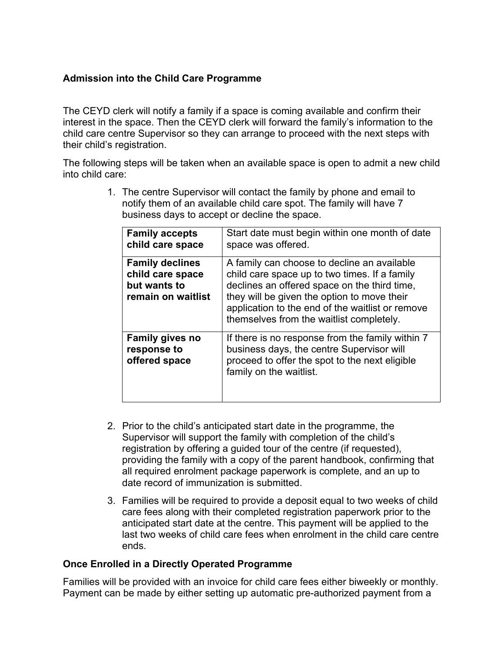# **Admission into the Child Care Programme**

The CEYD clerk will notify a family if a space is coming available and confirm their interest in the space. Then the CEYD clerk will forward the family's information to the child care centre Supervisor so they can arrange to proceed with the next steps with their child's registration.

The following steps will be taken when an available space is open to admit a new child into child care:

> 1. The centre Supervisor will contact the family by phone and email to notify them of an available child care spot. The family will have 7 business days to accept or decline the space.

| <b>Family accepts</b><br>child care space                                        | Start date must begin within one month of date<br>space was offered.                                                                                                                                                                                                                        |
|----------------------------------------------------------------------------------|---------------------------------------------------------------------------------------------------------------------------------------------------------------------------------------------------------------------------------------------------------------------------------------------|
| <b>Family declines</b><br>child care space<br>but wants to<br>remain on waitlist | A family can choose to decline an available<br>child care space up to two times. If a family<br>declines an offered space on the third time,<br>they will be given the option to move their<br>application to the end of the waitlist or remove<br>themselves from the waitlist completely. |
| <b>Family gives no</b><br>response to<br>offered space                           | If there is no response from the family within 7<br>business days, the centre Supervisor will<br>proceed to offer the spot to the next eligible<br>family on the waitlist.                                                                                                                  |

- 2. Prior to the child's anticipated start date in the programme, the Supervisor will support the family with completion of the child's registration by offering a guided tour of the centre (if requested), providing the family with a copy of the parent handbook, confirming that all required enrolment package paperwork is complete, and an up to date record of immunization is submitted.
- 3. Families will be required to provide a deposit equal to two weeks of child care fees along with their completed registration paperwork prior to the anticipated start date at the centre. This payment will be applied to the last two weeks of child care fees when enrolment in the child care centre ends.

# **Once Enrolled in a Directly Operated Programme**

Families will be provided with an invoice for child care fees either biweekly or monthly. Payment can be made by either setting up automatic pre-authorized payment from a